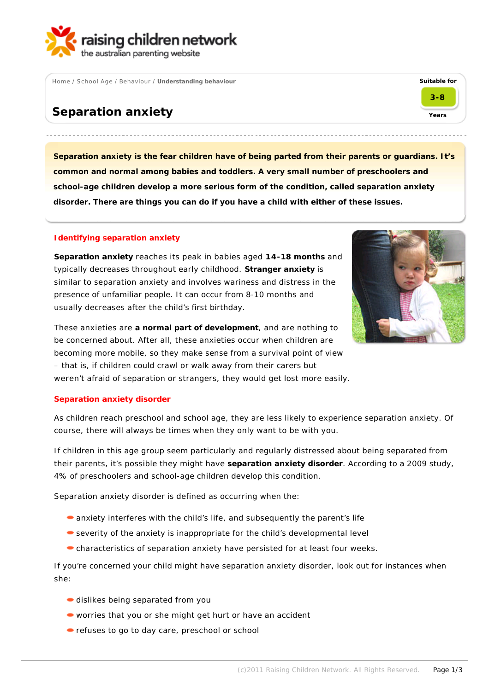

Home / School Age / Behaviour / **Understanding behaviour**

# **Separation anxiety**

**Separation anxiety is the fear children have of being parted from their parents or guardians. It's common and normal among babies and toddlers. A very small number of preschoolers and school-age children develop a more serious form of the condition, called separation anxiety disorder. There are things you can do if you have a child with either of these issues.**

## **Identifying separation anxiety**

**Separation anxiety** reaches its peak in babies aged **14-18 months** and typically decreases throughout early childhood. **Stranger anxiety** is similar to separation anxiety and involves wariness and distress in the presence of unfamiliar people. It can occur from 8-10 months and usually decreases after the child's first birthday.



**Suitable for**

**3-8**

**Years**

These anxieties are **a normal part of development**, and are nothing to be concerned about. After all, these anxieties occur when children are becoming more mobile, so they make sense from a survival point of view – that is, if children could crawl or walk away from their carers but weren't afraid of separation or strangers, they would get lost more easily.

### **Separation anxiety disorder**

As children reach preschool and school age, they are less likely to experience separation anxiety. Of course, there will always be times when they only want to be with you.

If children in this age group seem particularly and regularly distressed about being separated from their parents, it's possible they might have **separation anxiety disorder**. According to a 2009 study, 4% of preschoolers and school-age children develop this condition.

Separation anxiety disorder is defined as occurring when the:

- anxiety interferes with the child's life, and subsequently the parent's life
- severity of the anxiety is inappropriate for the child's developmental level
- characteristics of separation anxiety have persisted for at least four weeks.

If you're concerned your child might have separation anxiety disorder, look out for instances when she:

- dislikes being separated from you
- worries that you or she might get hurt or have an accident
- refuses to go to day care, preschool or school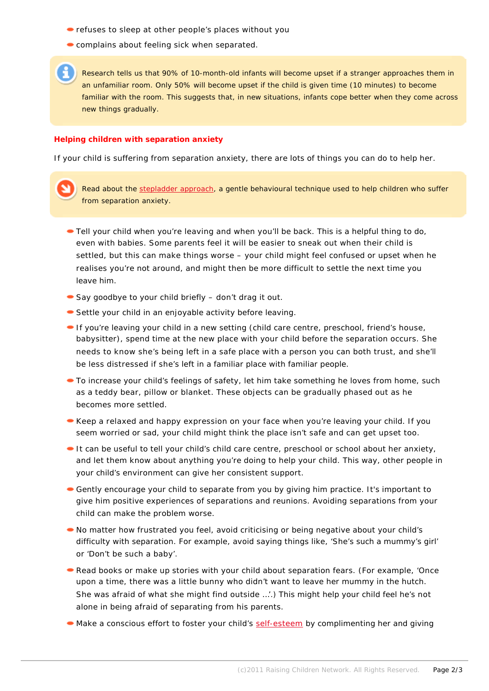- refuses to sleep at other people's places without you
- **Complains about feeling sick when separated.**

Research tells us that 90% of 10-month-old infants will become upset if a stranger approaches them in an unfamiliar room. Only 50% will become upset if the child is given time (10 minutes) to become familiar with the room. This suggests that, in new situations, infants cope better when they come across new things gradually.

#### **Helping children with separation anxiety**

If your child is suffering from separation anxiety, there are lots of things you can do to help her.

Read about the stepladder approach, a gentle behavioural technique used to help children who suffer from separation anxiety.

- Tell your child when you're leaving and when you'll be back. This is a helpful thing to do, even with babies. Some parents feel it will be easier to sneak out when their child is settled, but this can make things worse – your child might feel confused or upset when he realises you're not around, and might then be more difficult to settle the next time you leave him.
- Say goodbye to your child briefly don't drag it out.
- Settle your child in an enjoyable activity before leaving.
- If you're leaving your child in a new setting (child care centre, preschool, friend's house, babysitter), spend time at the new place with your child before the separation occurs. She needs to know she's being left in a safe place with a person you can both trust, and she'll be less distressed if she's left in a familiar place with familiar people.
- To increase your child's feelings of safety, let him take something he loves from home, such as a teddy bear, pillow or blanket. These objects can be gradually phased out as he becomes more settled.
- Keep a relaxed and happy expression on your face when you're leaving your child. If you seem worried or sad, your child might think the place isn't safe and can get upset too.
- It can be useful to tell your child's child care centre, preschool or school about her anxiety, and let them know about anything you're doing to help your child. This way, other people in your child's environment can give her consistent support.
- Gently encourage your child to separate from you by giving him practice. It's important to give him positive experiences of separations and reunions. Avoiding separations from your child can make the problem worse.
- No matter how frustrated you feel, avoid criticising or being negative about your child's difficulty with separation. For example, avoid saying things like, 'She's such a mummy's girl' or 'Don't be such a baby'.
- Read books or make up stories with your child about separation fears. (For example, 'Once upon a time, there was a little bunny who didn't want to leave her mummy in the hutch. She was afraid of what she might find outside …'.) This might help your child feel he's not alone in being afraid of separating from his parents.
- Make a conscious effort to foster your child's self-esteem by complimenting her and giving